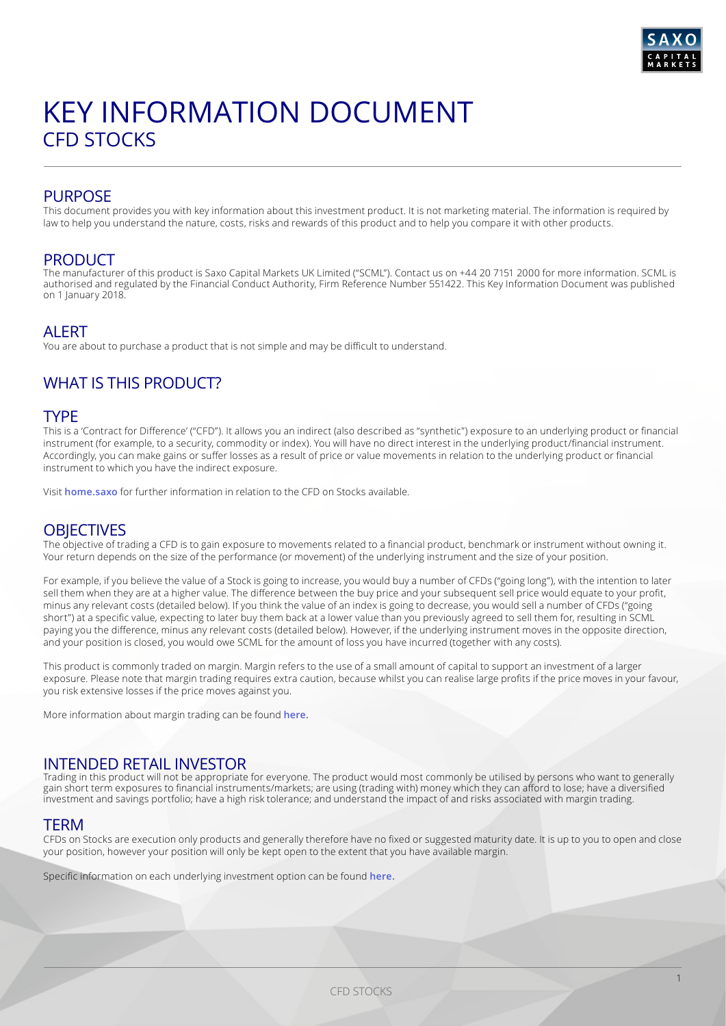

# KEY INFORMATION DOCUMENT CFD STOCKS

## PURPOSE

This document provides you with key information about this investment product. It is not marketing material. The information is required by law to help you understand the nature, costs, risks and rewards of this product and to help you compare it with other products.

### PRODUCT

The manufacturer of this product is Saxo Capital Markets UK Limited ("SCML"). Contact us on +44 20 7151 2000 for more information. SCML is authorised and regulated by the Financial Conduct Authority, Firm Reference Number 551422. This Key Information Document was published on 1 January 2018.

## **ALERT**

You are about to purchase a product that is not simple and may be difficult to understand.

## WHAT IS THIS PRODUCT?

#### TYPE

This is a 'Contract for Difference' ("CFD"). It allows you an indirect (also described as "synthetic") exposure to an underlying product or financial instrument (for example, to a security, commodity or index). You will have no direct interest in the underlying product/financial instrument. Accordingly, you can make gains or suffer losses as a result of price or value movements in relation to the underlying product or financial instrument to which you have the indirect exposure.

Visit **[home.saxo](https://www.home.saxo/en-gb)** for further information in relation to the CFD on Stocks available.

### **OBJECTIVES**

The objective of trading a CFD is to gain exposure to movements related to a financial product, benchmark or instrument without owning it. Your return depends on the size of the performance (or movement) of the underlying instrument and the size of your position.

For example, if you believe the value of a Stock is going to increase, you would buy a number of CFDs ("going long"), with the intention to later sell them when they are at a higher value. The difference between the buy price and your subsequent sell price would equate to your profit, minus any relevant costs (detailed below). If you think the value of an index is going to decrease, you would sell a number of CFDs ("going short") at a specific value, expecting to later buy them back at a lower value than you previously agreed to sell them for, resulting in SCML paying you the difference, minus any relevant costs (detailed below). However, if the underlying instrument moves in the opposite direction, and your position is closed, you would owe SCML for the amount of loss you have incurred (together with any costs).

This product is commonly traded on margin. Margin refers to the use of a small amount of capital to support an investment of a larger exposure. Please note that margin trading requires extra caution, because whilst you can realise large profits if the price moves in your favour, you risk extensive losses if the price moves against you.

More information about margin trading can be found **[here.](https://www.home.saxo/en-gb/-/media/documents/business-terms-and-policies/product-disclosure-statement.pdf)**

## INTENDED RETAIL INVESTOR

Trading in this product will not be appropriate for everyone. The product would most commonly be utilised by persons who want to generally gain short term exposures to financial instruments/markets; are using (trading with) money which they can afford to lose; have a diversified investment and savings portfolio; have a high risk tolerance; and understand the impact of and risks associated with margin trading.

#### **TERM**

CFDs on Stocks are execution only products and generally therefore have no fixed or suggested maturity date. It is up to you to open and close your position, however your position will only be kept open to the extent that you have available margin.

Specific information on each underlying investment option can be found **[here.](https://www.home.saxo/en-gb/rates-and-conditions/cfds/spreads-and-commissions)**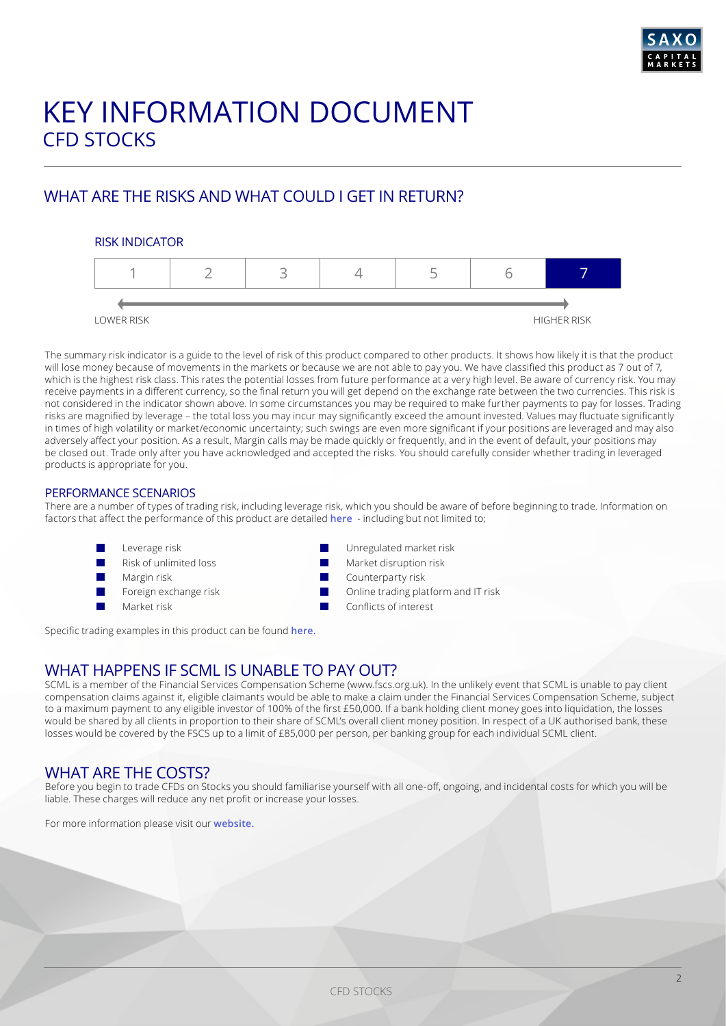

# KEY INFORMATION DOCUMENT CFD STOCKS

## WHAT ARE THE RISKS AND WHAT COULD I GET IN RETURN?

#### RISK INDICATOR



The summary risk indicator is a guide to the level of risk of this product compared to other products. It shows how likely it is that the product will lose money because of movements in the markets or because we are not able to pay you. We have classified this product as 7 out of 7, which is the highest risk class. This rates the potential losses from future performance at a very high level. Be aware of currency risk. You may receive payments in a different currency, so the final return you will get depend on the exchange rate between the two currencies. This risk is not considered in the indicator shown above. In some circumstances you may be required to make further payments to pay for losses. Trading risks are magnified by leverage – the total loss you may incur may significantly exceed the amount invested. Values may fluctuate significantly in times of high volatility or market/economic uncertainty; such swings are even more significant if your positions are leveraged and may also adversely affect your position. As a result, Margin calls may be made quickly or frequently, and in the event of default, your positions may be closed out. Trade only after you have acknowledged and accepted the risks. You should carefully consider whether trading in leveraged products is appropriate for you.

#### PERFORMANCE SCENARIOS

There are a number of types of trading risk, including leverage risk, which you should be aware of before beginning to trade. Information on factors that affect the performance of this product are detailed **[here](https://www.home.saxo/en-gb/-/media/documents/business-terms-and-policies/product-disclosure-statement.pdf)** - including but not limited to;

- Leverage risk
- Risk of unlimited loss
- Margin risk
- Foreign exchange risk
- Market risk
- Unregulated market risk
- Market disruption risk
- Counterparty risk
- Online trading platform and IT risk
- Conflicts of interest

Specific trading examples in this product can be found **[here](https://www.home.saxo/en-gb/-/media/documents/business-terms-and-policies/product-disclosure-statement.pdf).**

## WHAT HAPPENS IF SCML IS UNABLE TO PAY OUT?

SCML is a member of the Financial Services Compensation Scheme (www.fscs.org.uk). In the unlikely event that SCML is unable to pay client compensation claims against it, eligible claimants would be able to make a claim under the Financial Services Compensation Scheme, subject to a maximum payment to any eligible investor of 100% of the first £50,000. If a bank holding client money goes into liquidation, the losses would be shared by all clients in proportion to their share of SCML's overall client money position. In respect of a UK authorised bank, these losses would be covered by the FSCS up to a limit of £85,000 per person, per banking group for each individual SCML client.

## WHAT ARE THE COSTS?

Before you begin to trade CFDs on Stocks you should familiarise yourself with all one-off, ongoing, and incidental costs for which you will be liable. These charges will reduce any net profit or increase your losses.

For more information please visit our **[website](https://www.home.saxo/products/cfds).**